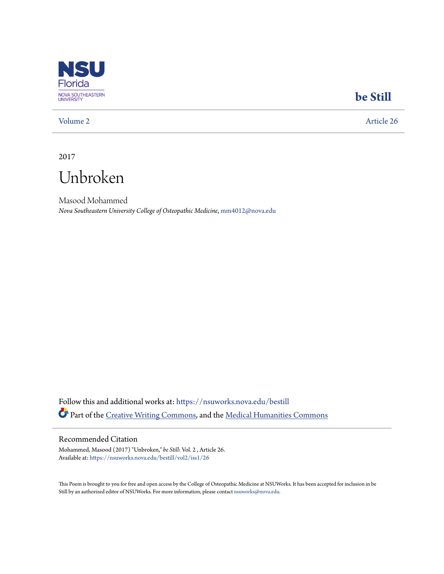

## **[be Still](https://nsuworks.nova.edu/bestill?utm_source=nsuworks.nova.edu%2Fbestill%2Fvol2%2Fiss1%2F26&utm_medium=PDF&utm_campaign=PDFCoverPages)**

[Volume 2](https://nsuworks.nova.edu/bestill/vol2?utm_source=nsuworks.nova.edu%2Fbestill%2Fvol2%2Fiss1%2F26&utm_medium=PDF&utm_campaign=PDFCoverPages) [Article 26](https://nsuworks.nova.edu/bestill/vol2/iss1/26?utm_source=nsuworks.nova.edu%2Fbestill%2Fvol2%2Fiss1%2F26&utm_medium=PDF&utm_campaign=PDFCoverPages)

2017



Masood Mohammed *Nova Southeastern University College of Osteopathic Medicine*, mm4012@nova.edu

Follow this and additional works at: [https://nsuworks.nova.edu/bestill](https://nsuworks.nova.edu/bestill?utm_source=nsuworks.nova.edu%2Fbestill%2Fvol2%2Fiss1%2F26&utm_medium=PDF&utm_campaign=PDFCoverPages) Part of the [Creative Writing Commons](http://network.bepress.com/hgg/discipline/574?utm_source=nsuworks.nova.edu%2Fbestill%2Fvol2%2Fiss1%2F26&utm_medium=PDF&utm_campaign=PDFCoverPages), and the [Medical Humanities Commons](http://network.bepress.com/hgg/discipline/1303?utm_source=nsuworks.nova.edu%2Fbestill%2Fvol2%2Fiss1%2F26&utm_medium=PDF&utm_campaign=PDFCoverPages)

## Recommended Citation

Mohammed, Masood (2017) "Unbroken," *be Still*: Vol. 2 , Article 26. Available at: [https://nsuworks.nova.edu/bestill/vol2/iss1/26](https://nsuworks.nova.edu/bestill/vol2/iss1/26?utm_source=nsuworks.nova.edu%2Fbestill%2Fvol2%2Fiss1%2F26&utm_medium=PDF&utm_campaign=PDFCoverPages)

This Poem is brought to you for free and open access by the College of Osteopathic Medicine at NSUWorks. It has been accepted for inclusion in be Still by an authorized editor of NSUWorks. For more information, please contact [nsuworks@nova.edu](mailto:nsuworks@nova.edu).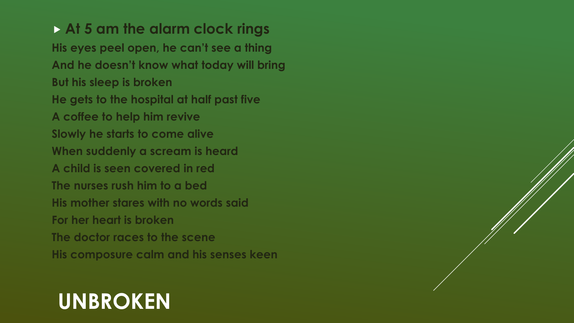**At 5 am the alarm clock rings His eyes peel open, he can't see a thing And he doesn't know what today will bring But his sleep is broken He gets to the hospital at half past five A coffee to help him revive Slowly he starts to come alive When suddenly a scream is heard A child is seen covered in red The nurses rush him to a bed His mother stares with no words said For her heart is broken The doctor races to the scene His composure calm and his senses keen**

## **UNBROKEN**